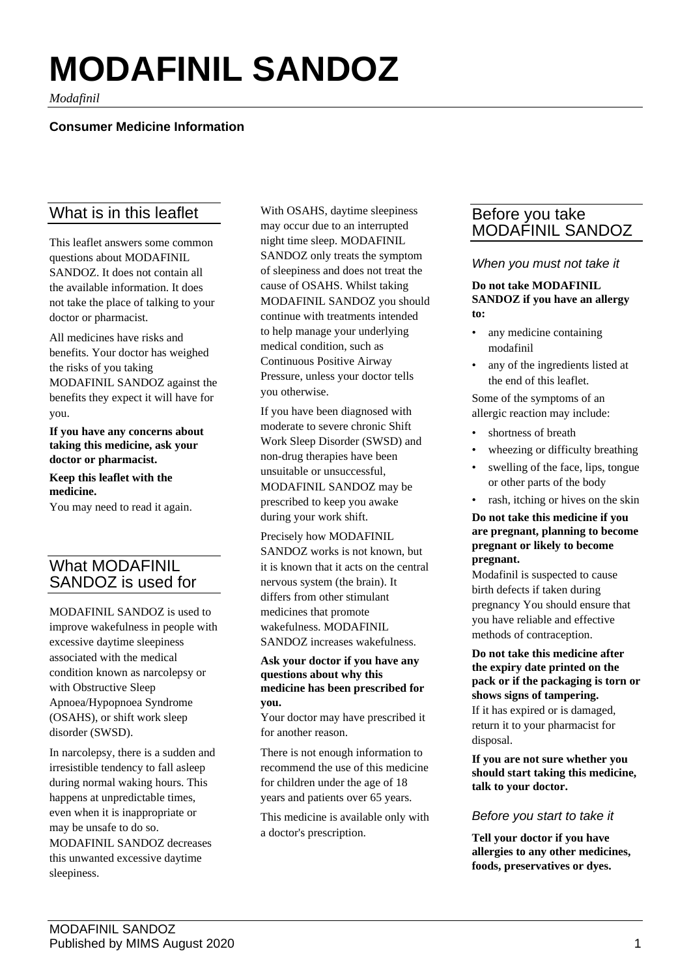# **MODAFINIL SANDOZ**

*Modafinil*

## **Consumer Medicine Information**

# What is in this leaflet

This leaflet answers some common questions about MODAFINIL SANDOZ. It does not contain all the available information. It does not take the place of talking to your doctor or pharmacist.

All medicines have risks and benefits. Your doctor has weighed the risks of you taking MODAFINIL SANDOZ against the benefits they expect it will have for you.

**If you have any concerns about taking this medicine, ask your doctor or pharmacist.**

**Keep this leaflet with the medicine.**

You may need to read it again.

# What MODAFINIL SANDOZ is used for

MODAFINIL SANDOZ is used to improve wakefulness in people with excessive daytime sleepiness associated with the medical condition known as narcolepsy or with Obstructive Sleep Apnoea/Hypopnoea Syndrome (OSAHS), or shift work sleep disorder (SWSD).

In narcolepsy, there is a sudden and irresistible tendency to fall asleep during normal waking hours. This happens at unpredictable times, even when it is inappropriate or may be unsafe to do so. MODAFINIL SANDOZ decreases this unwanted excessive daytime sleepiness.

With OSAHS, daytime sleepiness may occur due to an interrupted night time sleep. MODAFINIL SANDOZ only treats the symptom of sleepiness and does not treat the cause of OSAHS. Whilst taking MODAFINIL SANDOZ you should continue with treatments intended to help manage your underlying medical condition, such as Continuous Positive Airway Pressure, unless your doctor tells you otherwise.

If you have been diagnosed with moderate to severe chronic Shift Work Sleep Disorder (SWSD) and non-drug therapies have been unsuitable or unsuccessful, MODAFINIL SANDOZ may be prescribed to keep you awake during your work shift.

#### Precisely how MODAFINIL

SANDOZ works is not known, but it is known that it acts on the central nervous system (the brain). It differs from other stimulant medicines that promote wakefulness. MODAFINIL SANDOZ increases wakefulness.

#### **Ask your doctor if you have any questions about why this medicine has been prescribed for you.**

Your doctor may have prescribed it for another reason.

There is not enough information to recommend the use of this medicine for children under the age of 18 years and patients over 65 years.

This medicine is available only with a doctor's prescription.

# Before you take MODAFINIL SANDOZ

## *When you must not take it*

#### **Do not take MODAFINIL SANDOZ if you have an allergy to:**

- any medicine containing modafinil
- any of the ingredients listed at the end of this leaflet.

Some of the symptoms of an allergic reaction may include:

- shortness of breath
- wheezing or difficulty breathing
- swelling of the face, lips, tongue or other parts of the body
- rash, itching or hives on the skin

#### **Do not take this medicine if you are pregnant, planning to become pregnant or likely to become pregnant.**

Modafinil is suspected to cause birth defects if taken during pregnancy You should ensure that you have reliable and effective methods of contraception.

**Do not take this medicine after the expiry date printed on the pack or if the packaging is torn or shows signs of tampering.**

If it has expired or is damaged, return it to your pharmacist for disposal.

**If you are not sure whether you should start taking this medicine, talk to your doctor.**

## *Before you start to take it*

**Tell your doctor if you have allergies to any other medicines, foods, preservatives or dyes.**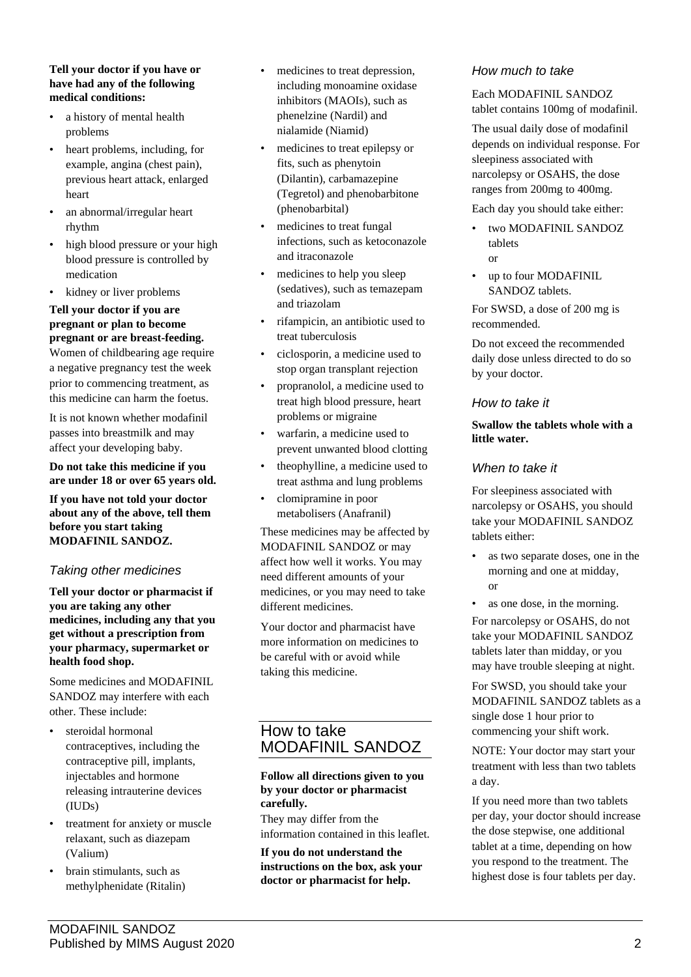#### **Tell your doctor if you have or have had any of the following medical conditions:**

- a history of mental health problems
- heart problems, including, for example, angina (chest pain), previous heart attack, enlarged heart
- an abnormal/irregular heart rhythm
- high blood pressure or your high blood pressure is controlled by medication
- kidney or liver problems

# **Tell your doctor if you are pregnant or plan to become pregnant or are breast-feeding.**

Women of childbearing age require a negative pregnancy test the week prior to commencing treatment, as this medicine can harm the foetus.

It is not known whether modafinil passes into breastmilk and may affect your developing baby.

**Do not take this medicine if you are under 18 or over 65 years old.**

**If you have not told your doctor about any of the above, tell them before you start taking MODAFINIL SANDOZ.**

## *Taking other medicines*

**Tell your doctor or pharmacist if you are taking any other medicines, including any that you get without a prescription from your pharmacy, supermarket or health food shop.**

Some medicines and MODAFINIL SANDOZ may interfere with each other. These include:

- steroidal hormonal contraceptives, including the contraceptive pill, implants, injectables and hormone releasing intrauterine devices (IUDs)
- treatment for anxiety or muscle relaxant, such as diazepam (Valium)
- brain stimulants, such as methylphenidate (Ritalin)
- medicines to treat depression, including monoamine oxidase inhibitors (MAOIs), such as phenelzine (Nardil) and nialamide (Niamid)
- medicines to treat epilepsy or fits, such as phenytoin (Dilantin), carbamazepine (Tegretol) and phenobarbitone (phenobarbital)
- medicines to treat fungal infections, such as ketoconazole and itraconazole
- medicines to help you sleep (sedatives), such as temazepam and triazolam
- rifampicin, an antibiotic used to treat tuberculosis
- ciclosporin, a medicine used to stop organ transplant rejection
- propranolol, a medicine used to treat high blood pressure, heart problems or migraine
- warfarin, a medicine used to prevent unwanted blood clotting
- theophylline, a medicine used to treat asthma and lung problems
- clomipramine in poor metabolisers (Anafranil)

These medicines may be affected by MODAFINIL SANDOZ or may affect how well it works. You may need different amounts of your medicines, or you may need to take different medicines.

Your doctor and pharmacist have more information on medicines to be careful with or avoid while taking this medicine.

# How to take MODAFINIL SANDOZ

### **Follow all directions given to you by your doctor or pharmacist carefully.**

They may differ from the information contained in this leaflet.

**If you do not understand the instructions on the box, ask your doctor or pharmacist for help.**

## *How much to take*

Each MODAFINIL SANDOZ tablet contains 100mg of modafinil.

The usual daily dose of modafinil depends on individual response. For sleepiness associated with narcolepsy or OSAHS, the dose ranges from 200mg to 400mg.

Each day you should take either:

- two MODAFINIL SANDOZ tablets or
- up to four MODAFINIL SANDOZ tablets.

For SWSD, a dose of 200 mg is recommended.

Do not exceed the recommended daily dose unless directed to do so by your doctor.

## *How to take it*

### **Swallow the tablets whole with a little water.**

## *When to take it*

For sleepiness associated with narcolepsy or OSAHS, you should take your MODAFINIL SANDOZ tablets either:

• as two separate doses, one in the morning and one at midday, or

• as one dose, in the morning. For narcolepsy or OSAHS, do not take your MODAFINIL SANDOZ tablets later than midday, or you may have trouble sleeping at night.

For SWSD, you should take your MODAFINIL SANDOZ tablets as a single dose 1 hour prior to commencing your shift work.

NOTE: Your doctor may start your treatment with less than two tablets a day.

If you need more than two tablets per day, your doctor should increase the dose stepwise, one additional tablet at a time, depending on how you respond to the treatment. The highest dose is four tablets per day.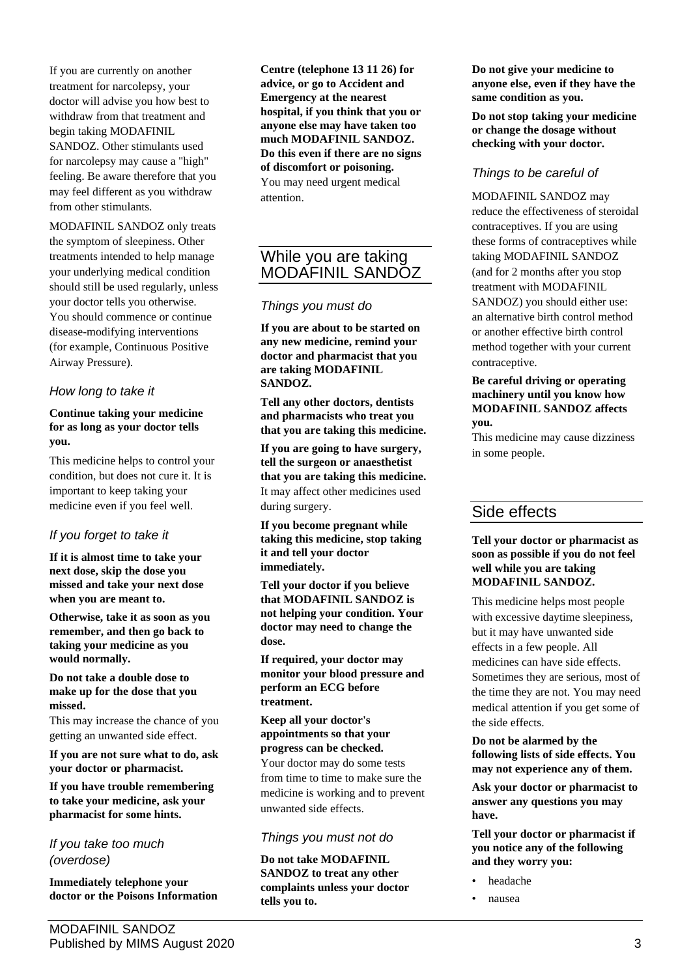If you are currently on another treatment for narcolepsy, your doctor will advise you how best to withdraw from that treatment and begin taking MODAFINIL SANDOZ. Other stimulants used for narcolepsy may cause a "high" feeling. Be aware therefore that you may feel different as you withdraw from other stimulants.

MODAFINIL SANDOZ only treats the symptom of sleepiness. Other treatments intended to help manage your underlying medical condition should still be used regularly, unless your doctor tells you otherwise. You should commence or continue disease-modifying interventions (for example, Continuous Positive Airway Pressure).

## *How long to take it*

## **Continue taking your medicine for as long as your doctor tells you.**

This medicine helps to control your condition, but does not cure it. It is important to keep taking your medicine even if you feel well.

## *If you forget to take it*

**If it is almost time to take your next dose, skip the dose you missed and take your next dose when you are meant to.**

**Otherwise, take it as soon as you remember, and then go back to taking your medicine as you would normally.**

**Do not take a double dose to make up for the dose that you missed.** 

This may increase the chance of you getting an unwanted side effect.

**If you are not sure what to do, ask your doctor or pharmacist.**

**If you have trouble remembering to take your medicine, ask your pharmacist for some hints.**

*If you take too much (overdose)*

**Immediately telephone your doctor or the Poisons Information** **Centre (telephone 13 11 26) for advice, or go to Accident and Emergency at the nearest hospital, if you think that you or anyone else may have taken too much MODAFINIL SANDOZ. Do this even if there are no signs of discomfort or poisoning.** You may need urgent medical attention.

# While you are taking MODAFINIL SANDOZ

## *Things you must do*

**If you are about to be started on any new medicine, remind your doctor and pharmacist that you are taking MODAFINIL SANDOZ.**

**Tell any other doctors, dentists and pharmacists who treat you that you are taking this medicine.**

**If you are going to have surgery, tell the surgeon or anaesthetist that you are taking this medicine.** It may affect other medicines used during surgery.

**If you become pregnant while taking this medicine, stop taking it and tell your doctor immediately.**

**Tell your doctor if you believe that MODAFINIL SANDOZ is not helping your condition. Your doctor may need to change the dose.**

**If required, your doctor may monitor your blood pressure and perform an ECG before treatment.**

## **Keep all your doctor's appointments so that your progress can be checked.**

Your doctor may do some tests from time to time to make sure the medicine is working and to prevent unwanted side effects.

## *Things you must not do*

**Do not take MODAFINIL SANDOZ to treat any other complaints unless your doctor tells you to.**

**Do not give your medicine to anyone else, even if they have the same condition as you.**

**Do not stop taking your medicine or change the dosage without checking with your doctor.**

## *Things to be careful of*

MODAFINIL SANDOZ may reduce the effectiveness of steroidal contraceptives. If you are using these forms of contraceptives while taking MODAFINIL SANDOZ (and for 2 months after you stop treatment with MODAFINIL SANDOZ) you should either use: an alternative birth control method or another effective birth control method together with your current contraceptive.

#### **Be careful driving or operating machinery until you know how MODAFINIL SANDOZ affects you.**

This medicine may cause dizziness in some people.

# Side effects

### **Tell your doctor or pharmacist as soon as possible if you do not feel well while you are taking MODAFINIL SANDOZ.**

This medicine helps most people with excessive daytime sleepiness, but it may have unwanted side effects in a few people. All medicines can have side effects. Sometimes they are serious, most of the time they are not. You may need medical attention if you get some of the side effects.

**Do not be alarmed by the following lists of side effects. You may not experience any of them.**

**Ask your doctor or pharmacist to answer any questions you may have.**

**Tell your doctor or pharmacist if you notice any of the following and they worry you:**

- headache
- nausea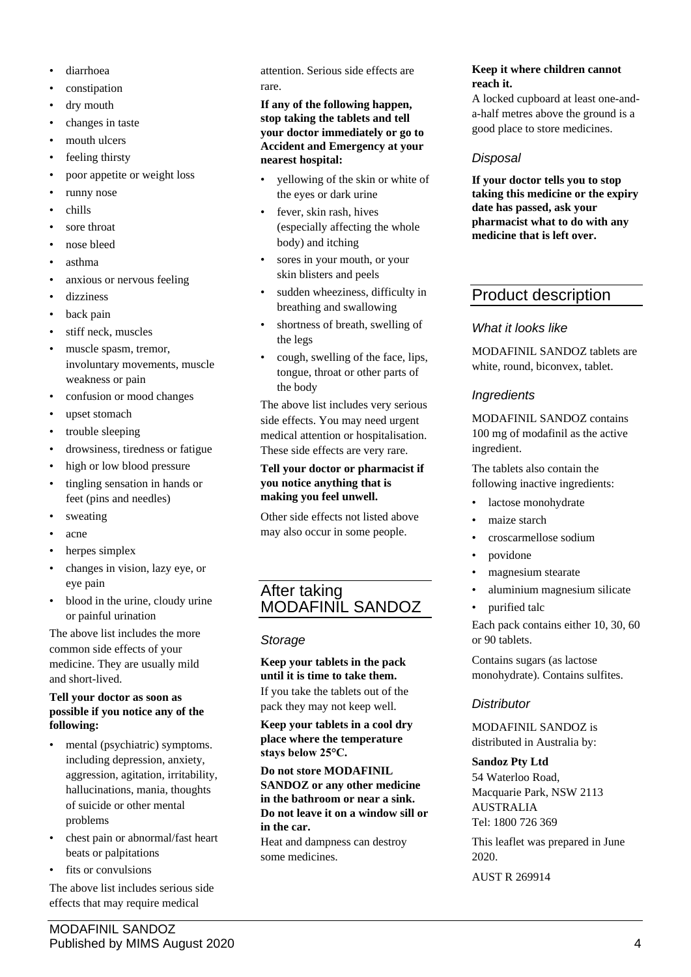- diarrhoea
- constipation
- dry mouth
- changes in taste
- mouth ulcers
- feeling thirsty
- poor appetite or weight loss
- runny nose
- chills
- sore throat
- nose bleed
- asthma
- anxious or nervous feeling
- dizziness
- back pain
- stiff neck, muscles
- muscle spasm, tremor, involuntary movements, muscle weakness or pain
- confusion or mood changes
- upset stomach
- trouble sleeping
- drowsiness, tiredness or fatigue
- high or low blood pressure
- tingling sensation in hands or feet (pins and needles)
- sweating
- acne
- herpes simplex
- changes in vision, lazy eye, or eye pain
- blood in the urine, cloudy urine or painful urination

The above list includes the more common side effects of your medicine. They are usually mild and short-lived.

#### **Tell your doctor as soon as possible if you notice any of the following:**

- mental (psychiatric) symptoms. including depression, anxiety, aggression, agitation, irritability, hallucinations, mania, thoughts of suicide or other mental problems
- chest pain or abnormal/fast heart beats or palpitations
- fits or convulsions

The above list includes serious side effects that may require medical

attention. Serious side effects are rare.

#### **If any of the following happen, stop taking the tablets and tell your doctor immediately or go to Accident and Emergency at your nearest hospital:**

- yellowing of the skin or white of the eyes or dark urine
- fever, skin rash, hives (especially affecting the whole body) and itching
- sores in your mouth, or your skin blisters and peels
- sudden wheeziness, difficulty in breathing and swallowing
- shortness of breath, swelling of the legs
- cough, swelling of the face, lips, tongue, throat or other parts of the body

The above list includes very serious side effects. You may need urgent medical attention or hospitalisation. These side effects are very rare.

#### **Tell your doctor or pharmacist if you notice anything that is making you feel unwell.**

Other side effects not listed above may also occur in some people.

## After taking MODAFINIL SANDOZ

## *Storage*

### **Keep your tablets in the pack until it is time to take them.**

If you take the tablets out of the pack they may not keep well.

**Keep your tablets in a cool dry place where the temperature stays below 25°C.**

**Do not store MODAFINIL SANDOZ or any other medicine in the bathroom or near a sink. Do not leave it on a window sill or in the car.**

Heat and dampness can destroy some medicines.

#### **Keep it where children cannot reach it.**

A locked cupboard at least one-anda-half metres above the ground is a good place to store medicines.

## *Disposal*

**If your doctor tells you to stop taking this medicine or the expiry date has passed, ask your pharmacist what to do with any medicine that is left over.**

# Product description

## *What it looks like*

MODAFINIL SANDOZ tablets are white, round, biconvex, tablet.

## *Ingredients*

MODAFINIL SANDOZ contains 100 mg of modafinil as the active ingredient.

The tablets also contain the following inactive ingredients:

- lactose monohydrate
- maize starch
- croscarmellose sodium
- povidone
- magnesium stearate
- aluminium magnesium silicate
- purified talc

Each pack contains either 10, 30, 60 or 90 tablets.

Contains sugars (as lactose monohydrate). Contains sulfites.

## *Distributor*

MODAFINIL SANDOZ is distributed in Australia by:

#### **Sandoz Pty Ltd**

54 Waterloo Road, Macquarie Park, NSW 2113 AUSTRALIA Tel: 1800 726 369

This leaflet was prepared in June 2020.

AUST R 269914